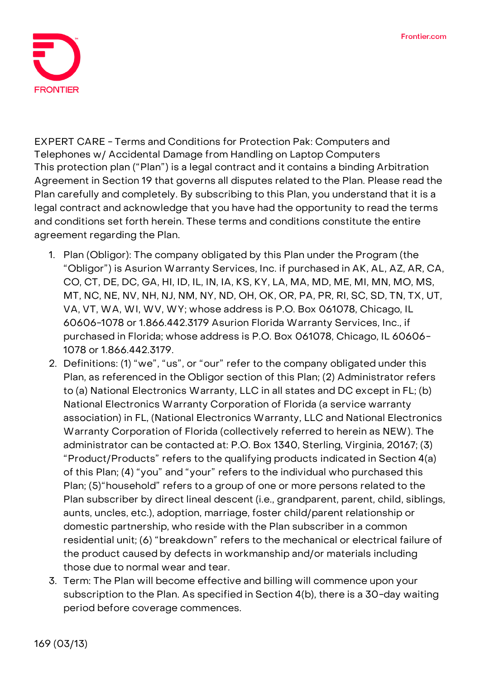

**EXPERT CARE - Terms and Conditions for Protection Pak: Computers and Telephones w/ Accidental Damage from Handling on Laptop Computers** This protection plan ("Plan") is a legal contract and it contains a binding Arbitration Agreement in Section 19 that governs all disputes related to the Plan. Please read the Plan carefully and completely. By subscribing to this Plan, you understand that it is a legal contract and acknowledge that you have had the opportunity to read the terms and conditions set forth herein. These terms and conditions constitute the entire agreement regarding the Plan.

- 1. **Plan (Obligor):** The company obligated by this Plan under the Program (the "Obligor") is Asurion Warranty Services, Inc. if purchased in AK, AL, AZ, AR, CA, CO, CT, DE, DC, GA, HI, ID, IL, IN, IA, KS, KY, LA, MA, MD, ME, MI, MN, MO, MS, MT, NC, NE, NV, NH, NJ, NM, NY, ND, OH, OK, OR, PA, PR, RI, SC, SD, TN, TX, UT, VA, VT, WA, WI, WV, WY; whose address is P.O. Box 061078, Chicago, IL 60606-1078 or 1.866.442.3179 Asurion Florida Warranty Services, Inc., if purchased in Florida; whose address is P.O. Box 061078, Chicago, IL 60606- 1078 or 1.866.442.3179.
- 2. **Definitions:** (1) "we", "us", or "our" refer to the company obligated under this Plan, as referenced in the Obligor section of this Plan; (2) Administrator refers to (a) National Electronics Warranty, LLC in all states and DC except in FL; (b) National Electronics Warranty Corporation of Florida (a service warranty association) in FL, (National Electronics Warranty, LLC and National Electronics Warranty Corporation of Florida (collectively referred to herein as NEW). The administrator can be contacted at: P.O. Box 1340, Sterling, Virginia, 20167; (3) "Product/Products" refers to the qualifying products indicated in Section 4(a) of this Plan; (4) "you" and "your" refers to the individual who purchased this Plan; (5)"household" refers to a group of one or more persons related to the Plan subscriber by direct lineal descent (i.e., grandparent, parent, child, siblings, aunts, uncles, etc.), adoption, marriage, foster child/parent relationship or domestic partnership, who reside with the Plan subscriber in a common residential unit; (6) "breakdown" refers to the mechanical or electrical failure of the product caused by defects in workmanship and/or materials including those due to normal wear and tear.
- 3. **Term:** The Plan will become effective and billing will commence upon your subscription to the Plan. **As specified in Section 4(b), there is a 30-day waiting period before coverage commences.**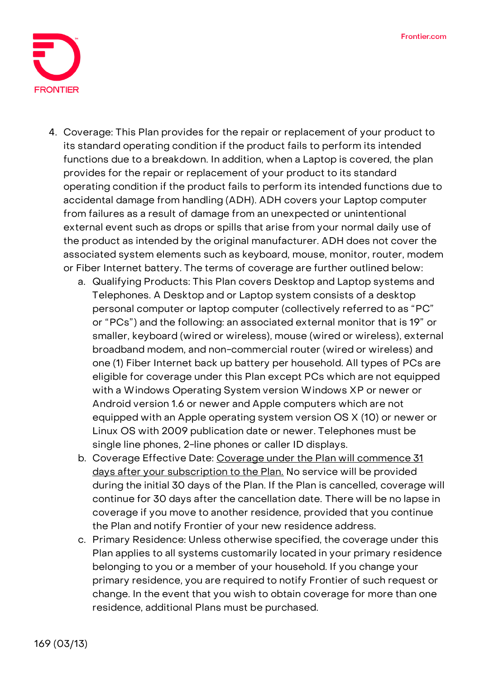

- 4. **Coverage:** This Plan provides for the repair or replacement of your product to its standard operating condition if the product fails to perform its intended functions due to a breakdown. In addition, when a Laptop is covered, the plan provides for the repair or replacement of your product to its standard operating condition if the product fails to perform its intended functions due to accidental damage from handling (ADH). ADH covers your Laptop computer from failures as a result of damage from an unexpected or unintentional external event such as drops or spills that arise from your normal daily use of the product as intended by the original manufacturer. ADH does not cover the associated system elements such as keyboard, mouse, monitor, router, modem or Fiber Internet battery. The terms of coverage are further outlined below:
	- a. Qualifying Products: This Plan covers Desktop and Laptop systems and Telephones. A Desktop and or Laptop system consists of a desktop personal computer or laptop computer (collectively referred to as "PC" or "PCs") and the following: an associated external monitor that is 19" or smaller, keyboard (wired or wireless), mouse (wired or wireless), external broadband modem, and non-commercial router (wired or wireless) and one (1) Fiber Internet back up battery per household. All types of PCs are eligible for coverage under this Plan except PCs which are not equipped with a Windows Operating System version Windows XP or newer or Android version 1.6 or newer and Apple computers which are not equipped with an Apple operating system version OS X (10) or newer or Linux OS with 2009 publication date or newer. Telephones must be single line phones, 2-line phones or caller ID displays.
	- b. Coverage Effective Date: **Coverage under the Plan will commence 31 days after your subscription to the Plan. No service will be provided during the initial 30 days of the Plan. If the Plan is cancelled, coverage will continue for 30 days after the cancellation date.** There will be no lapse in coverage if you move to another residence, provided that you continue the Plan and notify Frontier of your new residence address.
	- c. Primary Residence: Unless otherwise specified, the coverage under this Plan applies to all systems customarily located in your primary residence belonging to you or a member of your household. If you change your primary residence, you are required to notify Frontier of such request or change. In the event that you wish to obtain coverage for more than one residence, additional Plans must be purchased.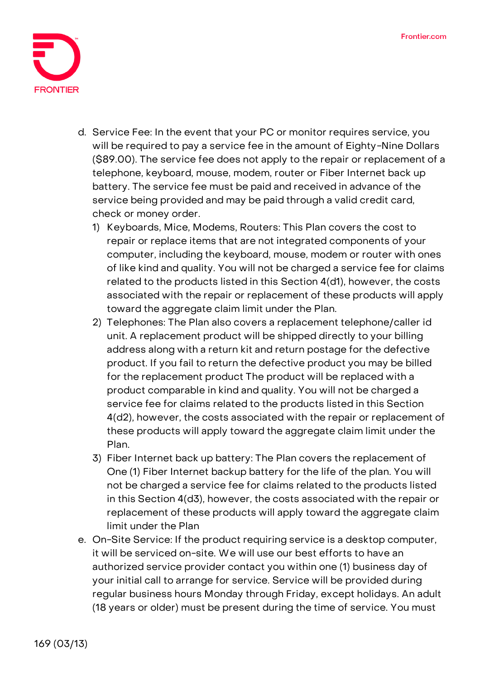

- d. Service Fee**: In the event that your PC or monitor requires service, you will be required to pay a service fee in the amount of Eighty-Nine Dollars (\$89.00).** The service fee does not apply to the repair or replacement of a telephone, keyboard, mouse, modem, router or Fiber Internet back up battery. The service fee must be paid and received in advance of the service being provided and may be paid through a valid credit card, check or money order.
	- 1) Keyboards, Mice, Modems, Routers: This Plan covers the cost to repair or replace items that are not integrated components of your computer, including the keyboard, mouse, modem or router with ones of like kind and quality. You will not be charged a service fee for claims related to the products listed in this Section 4(d1), however, the costs associated with the repair or replacement of these products will apply toward the aggregate claim limit under the Plan.
	- 2) Telephones: The Plan also covers a replacement telephone/caller id unit. A replacement product will be shipped directly to your billing address along with a return kit and return postage for the defective product. If you fail to return the defective product you may be billed for the replacement product The product will be replaced with a product comparable in kind and quality. You will not be charged a service fee for claims related to the products listed in this Section 4(d2), however, the costs associated with the repair or replacement of these products will apply toward the aggregate claim limit under the Plan.
	- 3) Fiber Internet back up battery: The Plan covers the replacement of One (1) Fiber Internet backup battery for the life of the plan. You will not be charged a service fee for claims related to the products listed in this Section 4(d3), however, the costs associated with the repair or replacement of these products will apply toward the aggregate claim limit under the Plan
- e. On-Site Service: If the product requiring service is a desktop computer, it will be serviced on-site. We will use our best efforts to have an authorized service provider contact you within one (1) business day of your initial call to arrange for service. Service will be provided during regular business hours Monday through Friday, except holidays. An adult (18 years or older) must be present during the time of service. You must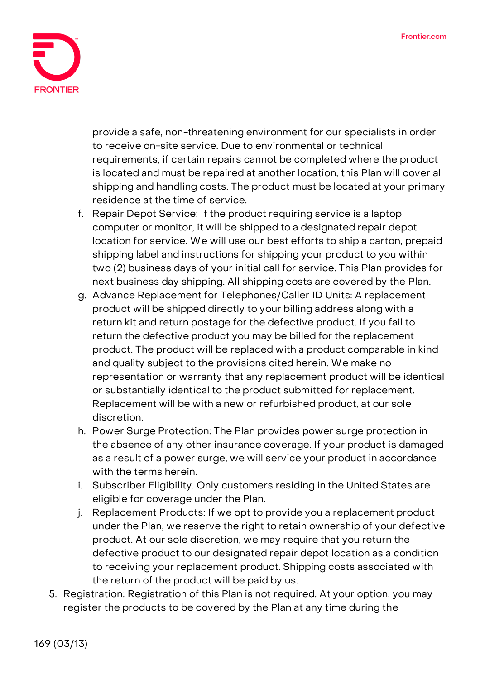

provide a safe, non-threatening environment for our specialists in order to receive on-site service. Due to environmental or technical requirements, if certain repairs cannot be completed where the product is located and must be repaired at another location, this Plan will cover all shipping and handling costs. The product must be located at your primary residence at the time of service.

- f. Repair Depot Service: If the product requiring service is a laptop computer or monitor, it will be shipped to a designated repair depot location for service. We will use our best efforts to ship a carton, prepaid shipping label and instructions for shipping your product to you within two (2) business days of your initial call for service. This Plan provides for next business day shipping. All shipping costs are covered by the Plan.
- g. Advance Replacement for Telephones/Caller ID Units: A replacement product will be shipped directly to your billing address along with a return kit and return postage for the defective product. If you fail to return the defective product you may be billed for the replacement product. The product will be replaced with a product comparable in kind and quality subject to the provisions cited herein. We make no representation or warranty that any replacement product will be identical or substantially identical to the product submitted for replacement. Replacement will be with a new or refurbished product, at our sole discretion.
- h. Power Surge Protection: The Plan provides power surge protection in the absence of any other insurance coverage. If your product is damaged as a result of a power surge, we will service your product in accordance with the terms herein.
- i. Subscriber Eligibility. Only customers residing in the United States are eligible for coverage under the Plan.
- j. Replacement Products: If we opt to provide you a replacement product under the Plan, we reserve the right to retain ownership of your defective product. At our sole discretion, we may require that you return the defective product to our designated repair depot location as a condition to receiving your replacement product. Shipping costs associated with the return of the product will be paid by us.
- 5. **Registration:** Registration of this Plan is not required. At your option, you may register the products to be covered by the Plan at any time during the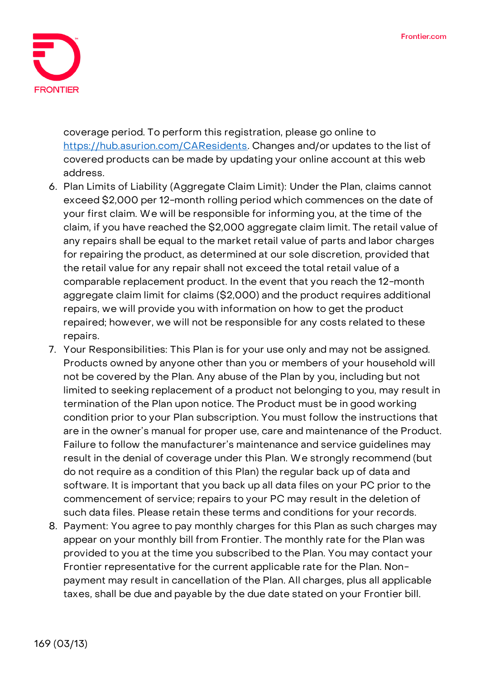

coverage period. To perform this registration, please go online to [https://hub.asurion.com/CAResidents.](https://hub.asurion.com/CAResidents) Changes and/or updates to the list of covered products can be made by updating your online account at this web address.

- 6. **Plan Limits of Liability (Aggregate Claim Limit):** Under the Plan, claims cannot exceed \$2,000 per 12-month rolling period which commences on the date of your first claim. We will be responsible for informing you, at the time of the claim, if you have reached the \$2,000 aggregate claim limit. The retail value of any repairs shall be equal to the market retail value of parts and labor charges for repairing the product, as determined at our sole discretion, provided that the retail value for any repair shall not exceed the total retail value of a comparable replacement product. In the event that you reach the 12-month aggregate claim limit for claims (\$2,000) and the product requires additional repairs, we will provide you with information on how to get the product repaired; however, we will not be responsible for any costs related to these repairs.
- 7. **Your Responsibilities:** This Plan is for your use only and may not be assigned. Products owned by anyone other than you or members of your household will not be covered by the Plan. Any abuse of the Plan by you, including but not limited to seeking replacement of a product not belonging to you, may result in termination of the Plan upon notice. The Product must be in good working condition prior to your Plan subscription. You must follow the instructions that are in the owner's manual for proper use, care and maintenance of the Product. Failure to follow the manufacturer's maintenance and service guidelines may result in the denial of coverage under this Plan. We strongly recommend (but do not require as a condition of this Plan) the regular back up of data and software. It is important that you back up all data files on your PC prior to the commencement of service; repairs to your PC may result in the deletion of such data files. Please retain these terms and conditions for your records.
- 8. **Payment:** You agree to pay monthly charges for this Plan as such charges may appear on your monthly bill from Frontier. The monthly rate for the Plan was provided to you at the time you subscribed to the Plan. You may contact your Frontier representative for the current applicable rate for the Plan. Nonpayment may result in cancellation of the Plan. All charges, plus all applicable taxes, shall be due and payable by the due date stated on your Frontier bill.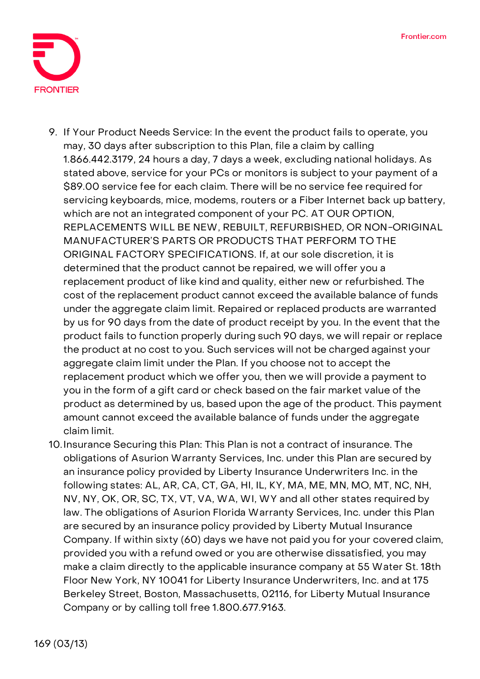

- 9. **If Your Product Needs Service:** In the event the product fails to operate, you may, 30 days after subscription to this Plan, file a claim by calling 1.866.442.3179, 24 hours a day, 7 days a week, excluding national holidays. As stated above, service for your PCs or monitors is subject to your payment of a \$89.00 service fee for each claim. There will be no service fee required for servicing keyboards, mice, modems, routers or a Fiber Internet back up battery, which are not an integrated component of your PC. **AT OUR OPTION, REPLACEMENTS WILL BE NEW, REBUILT, REFURBISHED, OR NON-ORIGINAL MANUFACTURER'S PARTS OR PRODUCTS THAT PERFORM TO THE ORIGINAL FACTORY SPECIFICATIONS.** If, at our sole discretion, it is determined that the product cannot be repaired, we will offer you a replacement product of like kind and quality, either new or refurbished. The cost of the replacement product cannot exceed the available balance of funds under the aggregate claim limit. Repaired or replaced products are warranted by us for 90 days from the date of product receipt by you. In the event that the product fails to function properly during such 90 days, we will repair or replace the product at no cost to you. Such services will not be charged against your aggregate claim limit under the Plan. If you choose not to accept the replacement product which we offer you, then we will provide a payment to you in the form of a gift card or check based on the fair market value of the product as determined by us, based upon the age of the product. This payment amount cannot exceed the available balance of funds under the aggregate claim limit.
- 10.**Insurance Securing this Plan:** This Plan is not a contract of insurance. The obligations of Asurion Warranty Services, Inc. under this Plan are secured by an insurance policy provided by Liberty Insurance Underwriters Inc. in the following states: AL, AR, CA, CT, GA, HI, IL, KY, MA, ME, MN, MO, MT, NC, NH, NV, NY, OK, OR, SC, TX, VT, VA, WA, WI, WY and all other states required by law. The obligations of Asurion Florida Warranty Services, Inc. under this Plan are secured by an insurance policy provided by Liberty Mutual Insurance Company. If within sixty (60) days we have not paid you for your covered claim, provided you with a refund owed or you are otherwise dissatisfied, you may make a claim directly to the applicable insurance company at 55 Water St. 18th Floor New York, NY 10041 for Liberty Insurance Underwriters, Inc. and at 175 Berkeley Street, Boston, Massachusetts, 02116, for Liberty Mutual Insurance Company or by calling toll free 1.800.677.9163.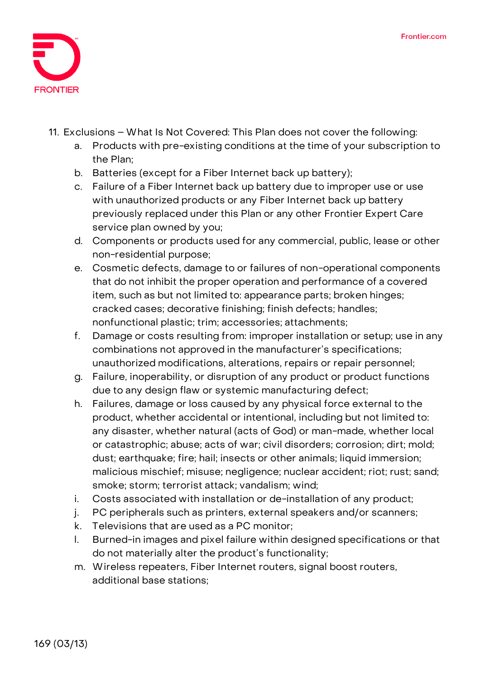

- 11. **Exclusions – What Is Not Covered:** This Plan does not cover the following:
	- a. Products with pre-existing conditions at the time of your subscription to the Plan;
	- b. Batteries (except for a Fiber Internet back up battery);
	- c. Failure of a Fiber Internet back up battery due to improper use or use with unauthorized products or any Fiber Internet back up battery previously replaced under this Plan or any other Frontier Expert Care service plan owned by you;
	- d. Components or products used for any commercial, public, lease or other non-residential purpose;
	- e. Cosmetic defects, damage to or failures of non-operational components that do not inhibit the proper operation and performance of a covered item, such as but not limited to: appearance parts; broken hinges; cracked cases; decorative finishing; finish defects; handles; nonfunctional plastic; trim; accessories; attachments;
	- f. Damage or costs resulting from: improper installation or setup; use in any combinations not approved in the manufacturer's specifications; unauthorized modifications, alterations, repairs or repair personnel;
	- g. Failure, inoperability, or disruption of any product or product functions due to any design flaw or systemic manufacturing defect;
	- h. Failures, damage or loss caused by any physical force external to the product, whether accidental or intentional, including but not limited to: any disaster, whether natural (acts of God) or man-made, whether local or catastrophic; abuse; acts of war; civil disorders; corrosion; dirt; mold; dust; earthquake; fire; hail; insects or other animals; liquid immersion; malicious mischief; misuse; negligence; nuclear accident; riot; rust; sand; smoke; storm; terrorist attack; vandalism; wind;
	- i. Costs associated with installation or de-installation of any product;
	- j. PC peripherals such as printers, external speakers and/or scanners;
	- k. Televisions that are used as a PC monitor;
	- l. Burned-in images and pixel failure within designed specifications or that do not materially alter the product's functionality;
	- m. Wireless repeaters, Fiber Internet routers, signal boost routers, additional base stations;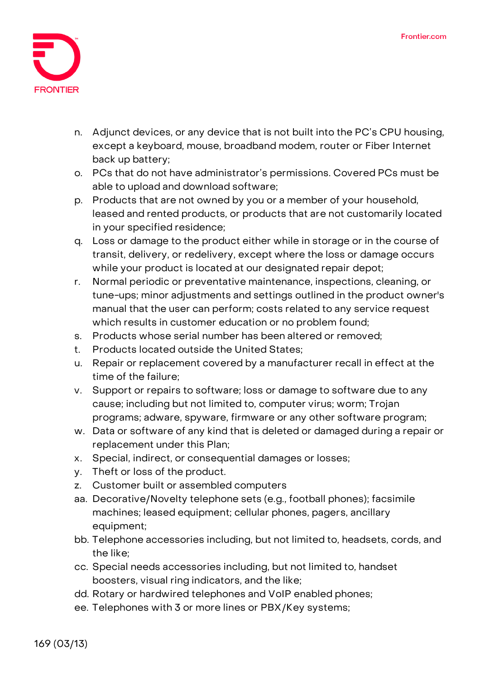

- n. Adjunct devices, or any device that is not built into the PC's CPU housing, except a keyboard, mouse, broadband modem, router or Fiber Internet back up battery;
- o. PCs that do not have administrator's permissions. Covered PCs must be able to upload and download software;
- p. Products that are not owned by you or a member of your household, leased and rented products, or products that are not customarily located in your specified residence;
- q. Loss or damage to the product either while in storage or in the course of transit, delivery, or redelivery, except where the loss or damage occurs while your product is located at our designated repair depot;
- r. Normal periodic or preventative maintenance, inspections, cleaning, or tune-ups; minor adjustments and settings outlined in the product owner's manual that the user can perform; costs related to any service request which results in customer education or no problem found;
- s. Products whose serial number has been altered or removed;
- t. Products located outside the United States;
- u. Repair or replacement covered by a manufacturer recall in effect at the time of the failure;
- v. Support or repairs to software; loss or damage to software due to any cause; including but not limited to, computer virus; worm; Trojan programs; adware, spyware, firmware or any other software program;
- w. Data or software of any kind that is deleted or damaged during a repair or replacement under this Plan;
- x. Special, indirect, or consequential damages or losses;
- y. Theft or loss of the product.
- z. Customer built or assembled computers
- aa. Decorative/Novelty telephone sets (e.g., football phones); facsimile machines; leased equipment; cellular phones, pagers, ancillary equipment;
- bb. Telephone accessories including, but not limited to, headsets, cords, and the like;
- cc. Special needs accessories including, but not limited to, handset boosters, visual ring indicators, and the like;
- dd. Rotary or hardwired telephones and VoIP enabled phones;
- ee. Telephones with 3 or more lines or PBX/Key systems;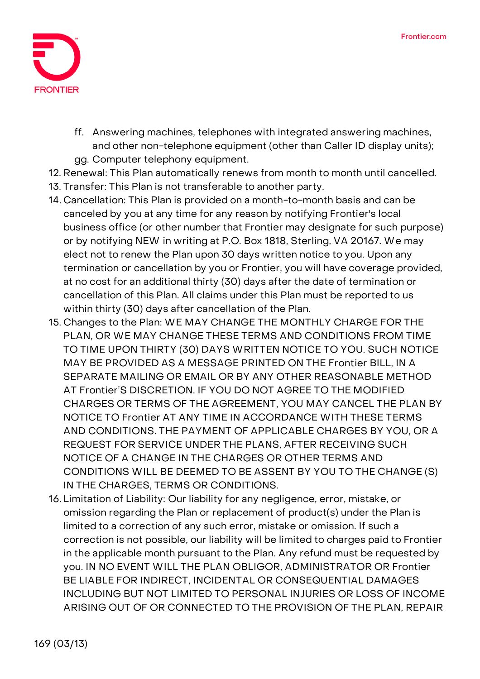

- ff. Answering machines, telephones with integrated answering machines, and other non-telephone equipment (other than Caller ID display units); gg. Computer telephony equipment.
- 12. **Renewal:** This Plan automatically renews from month to month until cancelled.
- 13. **Transfer:** This Plan is not transferable to another party.
- 14. **Cancellation:** This Plan is provided on a month-to-month basis and can be canceled by you at any time for any reason by notifying Frontier's local business office (or other number that Frontier may designate for such purpose) or by notifying NEW in writing at P.O. Box 1818, Sterling, VA 20167. We may elect not to renew the Plan upon 30 days written notice to you. Upon any termination or cancellation by you or Frontier, you will have coverage provided, at no cost for an additional thirty (30) days after the date of termination or cancellation of this Plan. All claims under this Plan must be reported to us within thirty (30) days after cancellation of the Plan.
- 15. **Changes to the Plan:** WE MAY CHANGE THE MONTHLY CHARGE FOR THE PLAN, OR WE MAY CHANGE THESE TERMS AND CONDITIONS FROM TIME TO TIME UPON THIRTY (30) DAYS WRITTEN NOTICE TO YOU. SUCH NOTICE MAY BE PROVIDED AS A MESSAGE PRINTED ON THE Frontier BILL, IN A SEPARATE MAILING OR EMAIL OR BY ANY OTHER REASONABLE METHOD AT Frontier'S DISCRETION. IF YOU DO NOT AGREE TO THE MODIFIED CHARGES OR TERMS OF THE AGREEMENT, YOU MAY CANCEL THE PLAN BY NOTICE TO Frontier AT ANY TIME IN ACCORDANCE WITH THESE TERMS AND CONDITIONS. THE PAYMENT OF APPLICABLE CHARGES BY YOU, OR A REQUEST FOR SERVICE UNDER THE PLANS, AFTER RECEIVING SUCH NOTICE OF A CHANGE IN THE CHARGES OR OTHER TERMS AND CONDITIONS WILL BE DEEMED TO BE ASSENT BY YOU TO THE CHANGE (S) IN THE CHARGES, TERMS OR CONDITIONS.
- 16. **Limitation of Liability:** Our liability for any negligence, error, mistake, or omission regarding the Plan or replacement of product(s) under the Plan is limited to a correction of any such error, mistake or omission. If such a correction is not possible, our liability will be limited to charges paid to Frontier in the applicable month pursuant to the Plan. Any refund must be requested by you. IN NO EVENT WILL THE PLAN OBLIGOR, ADMINISTRATOR OR Frontier BE LIABLE FOR INDIRECT, INCIDENTAL OR CONSEQUENTIAL DAMAGES INCLUDING BUT NOT LIMITED TO PERSONAL INJURIES OR LOSS OF INCOME ARISING OUT OF OR CONNECTED TO THE PROVISION OF THE PLAN, REPAIR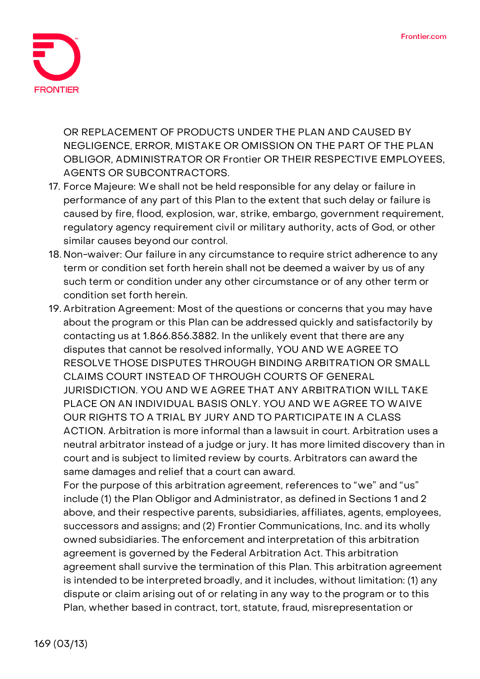

OR REPLACEMENT OF PRODUCTS UNDER THE PLAN AND CAUSED BY NEGLIGENCE, ERROR, MISTAKE OR OMISSION ON THE PART OF THE PLAN OBLIGOR, ADMINISTRATOR OR Frontier OR THEIR RESPECTIVE EMPLOYEES, AGENTS OR SUBCONTRACTORS.

- 17. **Force Majeure:** We shall not be held responsible for any delay or failure in performance of any part of this Plan to the extent that such delay or failure is caused by fire, flood, explosion, war, strike, embargo, government requirement, regulatory agency requirement civil or military authority, acts of God, or other similar causes beyond our control.
- 18. **Non-waiver:** Our failure in any circumstance to require strict adherence to any term or condition set forth herein shall not be deemed a waiver by us of any such term or condition under any other circumstance or of any other term or condition set forth herein.
- 19. **Arbitration Agreement:** Most of the questions or concerns that you may have about the program or this Plan can be addressed quickly and satisfactorily by contacting us at 1.866.856.3882. In the unlikely event that there are any disputes that cannot be resolved informally, **YOU AND WE AGREE TO RESOLVE THOSE DISPUTES THROUGH BINDING ARBITRATION OR SMALL CLAIMS COURT INSTEAD OF THROUGH COURTS OF GENERAL JURISDICTION. YOU AND WE AGREE THAT ANY ARBITRATION WILL TAKE PLACE ON AN INDIVIDUAL BASIS ONLY. YOU AND WE AGREE TO WAIVE OUR RIGHTS TO A TRIAL BY JURY AND TO PARTICIPATE IN A CLASS ACTION.** Arbitration is more informal than a lawsuit in court. Arbitration uses a neutral arbitrator instead of a judge or jury. It has more limited discovery than in court and is subject to limited review by courts. Arbitrators can award the same damages and relief that a court can award.

For the purpose of this arbitration agreement, references to "we" and "us" include (1) the Plan Obligor and Administrator, as defined in Sections 1 and 2 above, and their respective parents, subsidiaries, affiliates, agents, employees, successors and assigns; and (2) Frontier Communications, Inc. and its wholly owned subsidiaries. The enforcement and interpretation of this arbitration agreement is governed by the Federal Arbitration Act. This arbitration agreement shall survive the termination of this Plan. This arbitration agreement is intended to be interpreted broadly, and it includes, without limitation: (1) any dispute or claim arising out of or relating in any way to the program or to this Plan, whether based in contract, tort, statute, fraud, misrepresentation or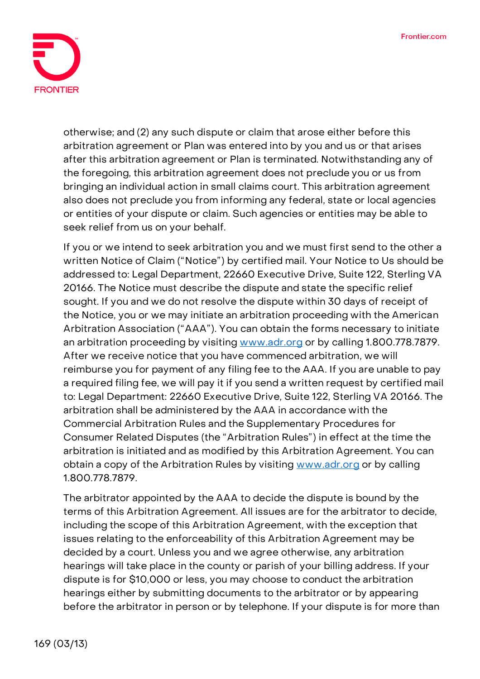

otherwise; and (2) any such dispute or claim that arose either before this arbitration agreement or Plan was entered into by you and us or that arises after this arbitration agreement or Plan is terminated. Notwithstanding any of the foregoing, this arbitration agreement does not preclude you or us from bringing an individual action in small claims court. This arbitration agreement also does not preclude you from informing any federal, state or local agencies or entities of your dispute or claim. Such agencies or entities may be able to seek relief from us on your behalf.

If you or we intend to seek arbitration you and we must first send to the other a written Notice of Claim ("Notice") by certified mail. Your Notice to Us should be addressed to: Legal Department, 22660 Executive Drive, Suite 122, Sterling VA 20166. The Notice must describe the dispute and state the specific relief sought. If you and we do not resolve the dispute within 30 days of receipt of the Notice, you or we may initiate an arbitration proceeding with the American Arbitration Association ("AAA"). You can obtain the forms necessary to initiate an arbitration proceeding by visiting [www.adr.org](http://www.adr.org/) or by calling 1.800.778.7879. After we receive notice that you have commenced arbitration, we will reimburse you for payment of any filing fee to the AAA. If you are unable to pay a required filing fee, we will pay it if you send a written request by certified mail to: Legal Department: 22660 Executive Drive, Suite 122, Sterling VA 20166. The arbitration shall be administered by the AAA in accordance with the Commercial Arbitration Rules and the Supplementary Procedures for Consumer Related Disputes (the "Arbitration Rules") in effect at the time the arbitration is initiated and as modified by this Arbitration Agreement. You can obtain a copy of the Arbitration Rules by visiting [www.adr.org](http://www.adr.org/) or by calling 1.800.778.7879.

The arbitrator appointed by the AAA to decide the dispute is bound by the terms of this Arbitration Agreement. All issues are for the arbitrator to decide, including the scope of this Arbitration Agreement, with the exception that issues relating to the enforceability of this Arbitration Agreement may be decided by a court. Unless you and we agree otherwise, any arbitration hearings will take place in the county or parish of your billing address. If your dispute is for \$10,000 or less, you may choose to conduct the arbitration hearings either by submitting documents to the arbitrator or by appearing before the arbitrator in person or by telephone. If your dispute is for more than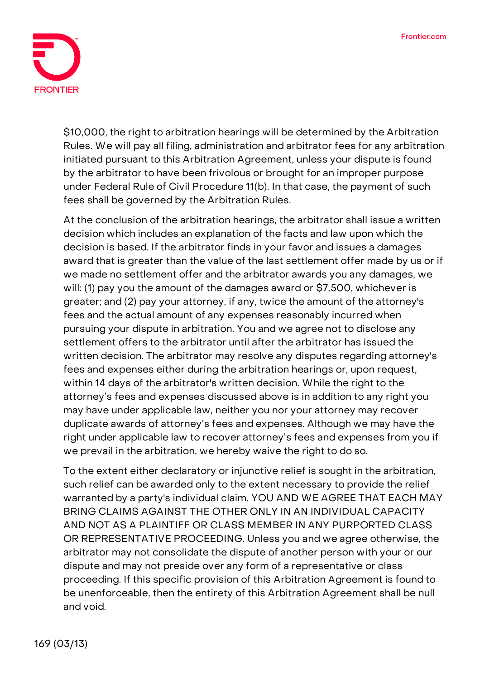

\$10,000, the right to arbitration hearings will be determined by the Arbitration Rules. We will pay all filing, administration and arbitrator fees for any arbitration initiated pursuant to this Arbitration Agreement, unless your dispute is found by the arbitrator to have been frivolous or brought for an improper purpose under Federal Rule of Civil Procedure 11(b). In that case, the payment of such fees shall be governed by the Arbitration Rules.

At the conclusion of the arbitration hearings, the arbitrator shall issue a written decision which includes an explanation of the facts and law upon which the decision is based. If the arbitrator finds in your favor and issues a damages award that is greater than the value of the last settlement offer made by us or if we made no settlement offer and the arbitrator awards you any damages, we will: (1) pay you the amount of the damages award or \$7,500, whichever is greater; and (2) pay your attorney, if any, twice the amount of the attorney's fees and the actual amount of any expenses reasonably incurred when pursuing your dispute in arbitration. You and we agree not to disclose any settlement offers to the arbitrator until after the arbitrator has issued the written decision. The arbitrator may resolve any disputes regarding attorney's fees and expenses either during the arbitration hearings or, upon request, within 14 days of the arbitrator's written decision. While the right to the attorney's fees and expenses discussed above is in addition to any right you may have under applicable law, neither you nor your attorney may recover duplicate awards of attorney's fees and expenses. Although we may have the right under applicable law to recover attorney's fees and expenses from you if we prevail in the arbitration, we hereby waive the right to do so.

To the extent either declaratory or injunctive relief is sought in the arbitration, such relief can be awarded only to the extent necessary to provide the relief warranted by a party's individual claim. YOU AND WE AGREE THAT EACH MAY BRING CLAIMS AGAINST THE OTHER ONLY IN AN INDIVIDUAL CAPACITY AND NOT AS A PLAINTIFF OR CLASS MEMBER IN ANY PURPORTED CLASS OR REPRESENTATIVE PROCEEDING. Unless you and we agree otherwise, the arbitrator may not consolidate the dispute of another person with your or our dispute and may not preside over any form of a representative or class proceeding. If this specific provision of this Arbitration Agreement is found to be unenforceable, then the entirety of this Arbitration Agreement shall be null and void.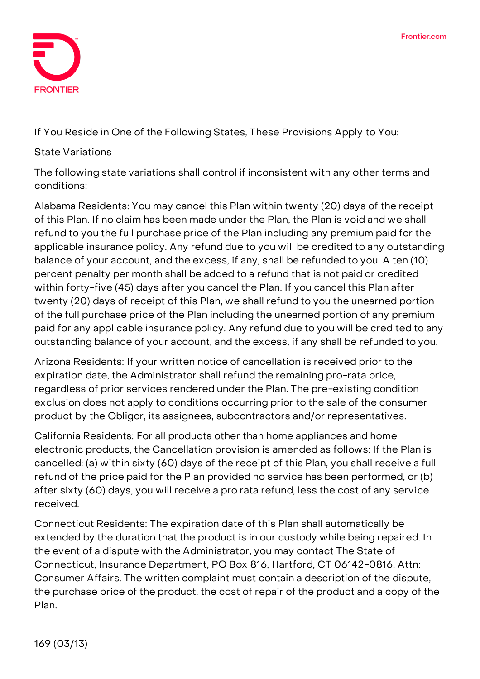

**If You Reside in One of the Following States, These Provisions Apply to You:**

## **State Variations**

The following state variations shall control if inconsistent with any other terms and conditions:

**Alabama Residents:** You may cancel this Plan within twenty (20) days of the receipt of this Plan. If no claim has been made under the Plan, the Plan is void and we shall refund to you the full purchase price of the Plan including any premium paid for the applicable insurance policy. Any refund due to you will be credited to any outstanding balance of your account, and the excess, if any, shall be refunded to you. A ten (10) percent penalty per month shall be added to a refund that is not paid or credited within forty-five (45) days after you cancel the Plan. If you cancel this Plan after twenty (20) days of receipt of this Plan, we shall refund to you the unearned portion of the full purchase price of the Plan including the unearned portion of any premium paid for any applicable insurance policy. Any refund due to you will be credited to any outstanding balance of your account, and the excess, if any shall be refunded to you.

**Arizona Residents:** If your written notice of cancellation is received prior to the expiration date, the Administrator shall refund the remaining pro-rata price, regardless of prior services rendered under the Plan. The pre-existing condition exclusion does not apply to conditions occurring prior to the sale of the consumer product by the Obligor, its assignees, subcontractors and/or representatives.

**California Residents:** For all products other than home appliances and home electronic products, the Cancellation provision is amended as follows: If the Plan is cancelled: (a) within sixty (60) days of the receipt of this Plan, you shall receive a full refund of the price paid for the Plan provided no service has been performed, or (b) after sixty (60) days, you will receive a pro rata refund, less the cost of any service received.

**Connecticut Residents:** The expiration date of this Plan shall automatically be extended by the duration that the product is in our custody while being repaired. In the event of a dispute with the Administrator, you may contact The State of Connecticut, Insurance Department, PO Box 816, Hartford, CT 06142-0816, Attn: Consumer Affairs. The written complaint must contain a description of the dispute, the purchase price of the product, the cost of repair of the product and a copy of the Plan.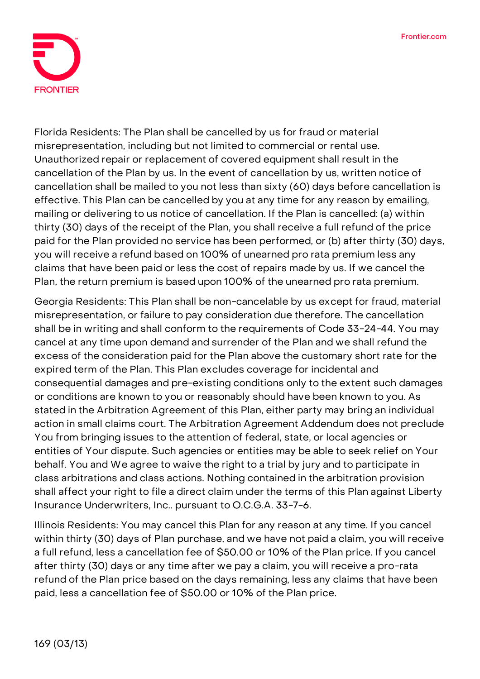

**Florida Residents:** The Plan shall be cancelled by us for fraud or material misrepresentation, including but not limited to commercial or rental use. Unauthorized repair or replacement of covered equipment shall result in the cancellation of the Plan by us. In the event of cancellation by us, written notice of cancellation shall be mailed to you not less than sixty (60) days before cancellation is effective. This Plan can be cancelled by you at any time for any reason by emailing, mailing or delivering to us notice of cancellation. If the Plan is cancelled: (a) within thirty (30) days of the receipt of the Plan, you shall receive a full refund of the price paid for the Plan provided no service has been performed, or (b) after thirty (30) days, you will receive a refund based on 100% of unearned pro rata premium less any claims that have been paid or less the cost of repairs made by us. If we cancel the Plan, the return premium is based upon 100% of the unearned pro rata premium.

**Georgia Residents:** This Plan shall be non-cancelable by us except for fraud, material misrepresentation, or failure to pay consideration due therefore. The cancellation shall be in writing and shall conform to the requirements of Code 33-24-44. You may cancel at any time upon demand and surrender of the Plan and we shall refund the excess of the consideration paid for the Plan above the customary short rate for the expired term of the Plan. This Plan excludes coverage for incidental and consequential damages and pre-existing conditions only to the extent such damages or conditions are known to you or reasonably should have been known to you. As stated in the Arbitration Agreement of this Plan, either party may bring an individual action in small claims court. The Arbitration Agreement Addendum does not preclude You from bringing issues to the attention of federal, state, or local agencies or entities of Your dispute. Such agencies or entities may be able to seek relief on Your behalf. You and We agree to waive the right to a trial by jury and to participate in class arbitrations and class actions. Nothing contained in the arbitration provision shall affect your right to file a direct claim under the terms of this Plan against Liberty Insurance Underwriters, Inc.. pursuant to O.C.G.A. 33-7-6.

**Illinois Residents:** You may cancel this Plan for any reason at any time. If you cancel within thirty (30) days of Plan purchase, and we have not paid a claim, you will receive a full refund, less a cancellation fee of \$50.00 or 10% of the Plan price. If you cancel after thirty (30) days or any time after we pay a claim, you will receive a pro-rata refund of the Plan price based on the days remaining, less any claims that have been paid, less a cancellation fee of \$50.00 or 10% of the Plan price.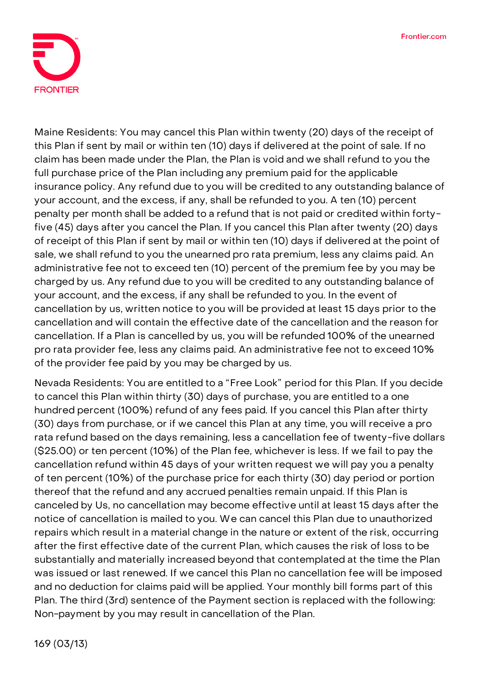

**Maine Residents:** You may cancel this Plan within twenty (20) days of the receipt of this Plan if sent by mail or within ten (10) days if delivered at the point of sale. If no claim has been made under the Plan, the Plan is void and we shall refund to you the full purchase price of the Plan including any premium paid for the applicable insurance policy. Any refund due to you will be credited to any outstanding balance of your account, and the excess, if any, shall be refunded to you. A ten (10) percent penalty per month shall be added to a refund that is not paid or credited within fortyfive (45) days after you cancel the Plan. If you cancel this Plan after twenty (20) days of receipt of this Plan if sent by mail or within ten (10) days if delivered at the point of sale, we shall refund to you the unearned pro rata premium, less any claims paid. An administrative fee not to exceed ten (10) percent of the premium fee by you may be charged by us. Any refund due to you will be credited to any outstanding balance of your account, and the excess, if any shall be refunded to you. In the event of cancellation by us, written notice to you will be provided at least 15 days prior to the cancellation and will contain the effective date of the cancellation and the reason for cancellation. If a Plan is cancelled by us, you will be refunded 100% of the unearned pro rata provider fee, less any claims paid. An administrative fee not to exceed 10% of the provider fee paid by you may be charged by us.

**Nevada Residents:** You are entitled to a "Free Look" period for this Plan. If you decide to cancel this Plan within thirty (30) days of purchase, you are entitled to a one hundred percent (100%) refund of any fees paid. If you cancel this Plan after thirty (30) days from purchase, or if we cancel this Plan at any time, you will receive a pro rata refund based on the days remaining, less a cancellation fee of twenty-five dollars (\$25.00) or ten percent (10%) of the Plan fee, whichever is less. If we fail to pay the cancellation refund within 45 days of your written request we will pay you a penalty of ten percent (10%) of the purchase price for each thirty (30) day period or portion thereof that the refund and any accrued penalties remain unpaid. If this Plan is canceled by Us, no cancellation may become effective until at least 15 days after the notice of cancellation is mailed to you. We can cancel this Plan due to unauthorized repairs which result in a material change in the nature or extent of the risk, occurring after the first effective date of the current Plan, which causes the risk of loss to be substantially and materially increased beyond that contemplated at the time the Plan was issued or last renewed. If we cancel this Plan no cancellation fee will be imposed and no deduction for claims paid will be applied. Your monthly bill forms part of this Plan. The third (3rd) sentence of the Payment section is replaced with the following: Non-payment by you may result in cancellation of the Plan.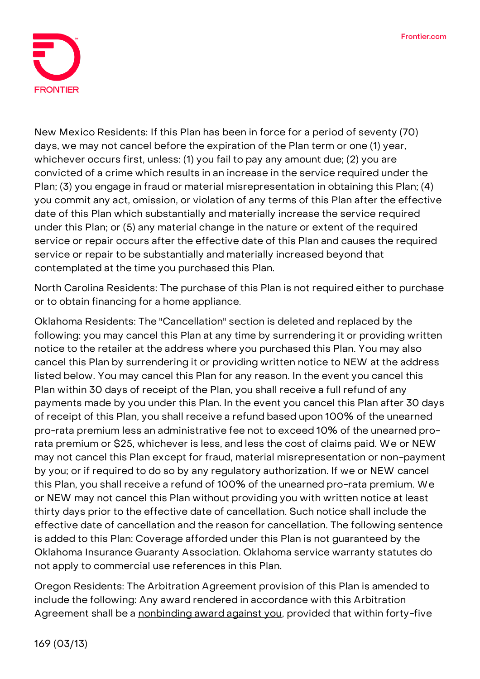

**New Mexico Residents:** If this Plan has been in force for a period of seventy (70) days, we may not cancel before the expiration of the Plan term or one (1) year, whichever occurs first, unless: (1) you fail to pay any amount due; (2) you are convicted of a crime which results in an increase in the service required under the Plan; (3) you engage in fraud or material misrepresentation in obtaining this Plan; (4) you commit any act, omission, or violation of any terms of this Plan after the effective date of this Plan which substantially and materially increase the service required under this Plan; or (5) any material change in the nature or extent of the required service or repair occurs after the effective date of this Plan and causes the required service or repair to be substantially and materially increased beyond that contemplated at the time you purchased this Plan.

**North Carolina Residents:** The purchase of this Plan is not required either to purchase or to obtain financing for a home appliance.

**Oklahoma Residents:** The "Cancellation" section is deleted and replaced by the following: you may cancel this Plan at any time by surrendering it or providing written notice to the retailer at the address where you purchased this Plan. You may also cancel this Plan by surrendering it or providing written notice to NEW at the address listed below. You may cancel this Plan for any reason. In the event you cancel this Plan within 30 days of receipt of the Plan, you shall receive a full refund of any payments made by you under this Plan. In the event you cancel this Plan after 30 days of receipt of this Plan, you shall receive a refund based upon 100% of the unearned pro-rata premium less an administrative fee not to exceed 10% of the unearned prorata premium or \$25, whichever is less, and less the cost of claims paid. We or NEW may not cancel this Plan except for fraud, material misrepresentation or non-payment by you; or if required to do so by any regulatory authorization. If we or NEW cancel this Plan, you shall receive a refund of 100% of the unearned pro-rata premium. We or NEW may not cancel this Plan without providing you with written notice at least thirty days prior to the effective date of cancellation. Such notice shall include the effective date of cancellation and the reason for cancellation. The following sentence is added to this Plan: Coverage afforded under this Plan is not guaranteed by the Oklahoma Insurance Guaranty Association. Oklahoma service warranty statutes do not apply to commercial use references in this Plan.

**Oregon Residents:** The Arbitration Agreement provision of this Plan is amended to include the following: **Any award rendered in accordance with this Arbitration Agreement shall be a nonbinding award against you**, provided that within forty-five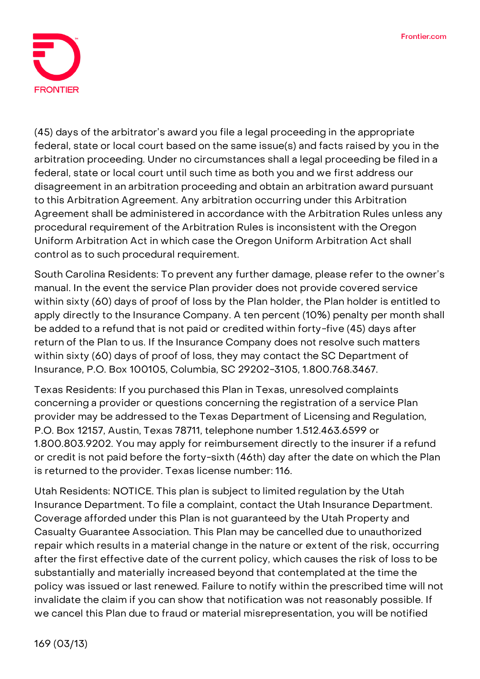

(45) days of the arbitrator's award you file a legal proceeding in the appropriate federal, state or local court based on the same issue(s) and facts raised by you in the arbitration proceeding. Under no circumstances shall a legal proceeding be filed in a federal, state or local court until such time as both you and we first address our disagreement in an arbitration proceeding and obtain an arbitration award pursuant to this Arbitration Agreement. Any arbitration occurring under this Arbitration Agreement shall be administered in accordance with the Arbitration Rules unless any procedural requirement of the Arbitration Rules is inconsistent with the Oregon Uniform Arbitration Act in which case the Oregon Uniform Arbitration Act shall control as to such procedural requirement.

**South Carolina Residents:** To prevent any further damage, please refer to the owner's manual. In the event the service Plan provider does not provide covered service within sixty (60) days of proof of loss by the Plan holder, the Plan holder is entitled to apply directly to the Insurance Company. A ten percent (10%) penalty per month shall be added to a refund that is not paid or credited within forty-five (45) days after return of the Plan to us. If the Insurance Company does not resolve such matters within sixty (60) days of proof of loss, they may contact the SC Department of Insurance, P.O. Box 100105, Columbia, SC 29202-3105, 1.800.768.3467.

**Texas Residents:** If you purchased this Plan in Texas, unresolved complaints concerning a provider or questions concerning the registration of a service Plan provider may be addressed to the Texas Department of Licensing and Regulation, P.O. Box 12157, Austin, Texas 78711, telephone number 1.512.463.6599 or 1.800.803.9202. You may apply for reimbursement directly to the insurer if a refund or credit is not paid before the forty-sixth (46th) day after the date on which the Plan is returned to the provider. Texas license number: 116.

**Utah Residents: NOTICE. This plan is subject to limited regulation by the Utah Insurance Department. To file a complaint, contact the Utah Insurance Department.** Coverage afforded under this Plan is not guaranteed by the Utah Property and Casualty Guarantee Association. This Plan may be cancelled due to unauthorized repair which results in a material change in the nature or extent of the risk, occurring after the first effective date of the current policy, which causes the risk of loss to be substantially and materially increased beyond that contemplated at the time the policy was issued or last renewed. Failure to notify within the prescribed time will not invalidate the claim if you can show that notification was not reasonably possible. If we cancel this Plan due to fraud or material misrepresentation, you will be notified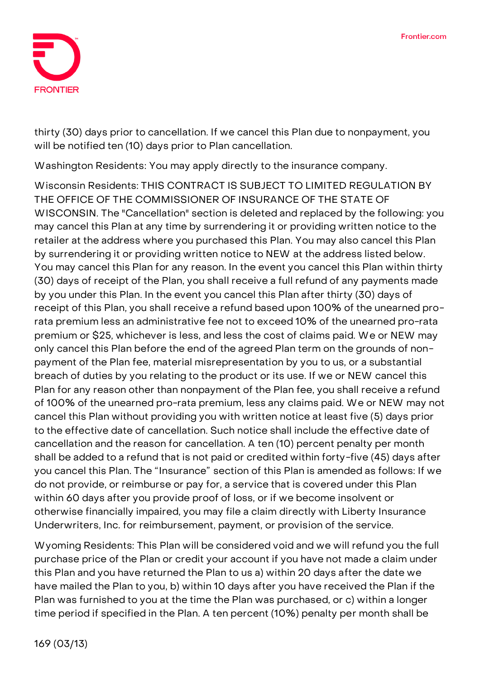

thirty (30) days prior to cancellation. If we cancel this Plan due to nonpayment, you will be notified ten (10) days prior to Plan cancellation.

**Washington Residents:** You may apply directly to the insurance company.

**Wisconsin Residents: THIS CONTRACT IS SUBJECT TO LIMITED REGULATION BY THE OFFICE OF THE COMMISSIONER OF INSURANCE OF THE STATE OF WISCONSIN.** The "Cancellation" section is deleted and replaced by the following: you may cancel this Plan at any time by surrendering it or providing written notice to the retailer at the address where you purchased this Plan. You may also cancel this Plan by surrendering it or providing written notice to NEW at the address listed below. You may cancel this Plan for any reason. In the event you cancel this Plan within thirty (30) days of receipt of the Plan, you shall receive a full refund of any payments made by you under this Plan. In the event you cancel this Plan after thirty (30) days of receipt of this Plan, you shall receive a refund based upon 100% of the unearned prorata premium less an administrative fee not to exceed 10% of the unearned pro-rata premium or \$25, whichever is less, and less the cost of claims paid. We or NEW may only cancel this Plan before the end of the agreed Plan term on the grounds of nonpayment of the Plan fee, material misrepresentation by you to us, or a substantial breach of duties by you relating to the product or its use. If we or NEW cancel this Plan for any reason other than nonpayment of the Plan fee, you shall receive a refund of 100% of the unearned pro-rata premium, less any claims paid. We or NEW may not cancel this Plan without providing you with written notice at least five (5) days prior to the effective date of cancellation. Such notice shall include the effective date of cancellation and the reason for cancellation. A ten (10) percent penalty per month shall be added to a refund that is not paid or credited within forty-five (45) days after you cancel this Plan. The "Insurance" section of this Plan is amended as follows: If we do not provide, or reimburse or pay for, a service that is covered under this Plan within 60 days after you provide proof of loss, or if we become insolvent or otherwise financially impaired, you may file a claim directly with Liberty Insurance Underwriters, Inc. for reimbursement, payment, or provision of the service.

**Wyoming Residents:** This Plan will be considered void and we will refund you the full purchase price of the Plan or credit your account if you have not made a claim under this Plan and you have returned the Plan to us a) within 20 days after the date we have mailed the Plan to you, b) within 10 days after you have received the Plan if the Plan was furnished to you at the time the Plan was purchased, or c) within a longer time period if specified in the Plan. A ten percent (10%) penalty per month shall be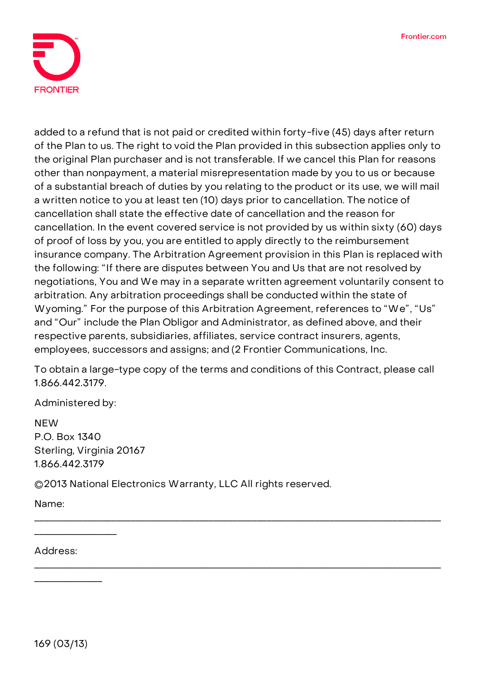

added to a refund that is not paid or credited within forty-five (45) days after return of the Plan to us. The right to void the Plan provided in this subsection applies only to the original Plan purchaser and is not transferable. If we cancel this Plan for reasons other than nonpayment, a material misrepresentation made by you to us or because of a substantial breach of duties by you relating to the product or its use, we will mail a written notice to you at least ten (10) days prior to cancellation. The notice of cancellation shall state the effective date of cancellation and the reason for cancellation. In the event covered service is not provided by us within sixty (60) days of proof of loss by you, you are entitled to apply directly to the reimbursement insurance company. The Arbitration Agreement provision in this Plan is replaced with the following: "If there are disputes between You and Us that are not resolved by negotiations, You and We may in a separate written agreement voluntarily consent to arbitration. Any arbitration proceedings shall be conducted within the state of Wyoming." For the purpose of this Arbitration Agreement, references to "We", "Us" and "Our" include the Plan Obligor and Administrator, as defined above, and their respective parents, subsidiaries, affiliates, service contract insurers, agents, employees, successors and assigns; and (2 Frontier Communications, Inc.

**To obtain a large-type copy of the terms and conditions of this Contract, please call 1.866.442.3179.**

\_\_\_\_\_\_\_\_\_\_\_\_\_\_\_\_\_\_\_\_\_\_\_\_\_\_\_\_\_\_\_\_\_\_\_\_\_\_\_\_\_\_\_\_\_\_\_\_\_\_\_\_\_\_\_\_\_\_\_\_\_\_\_\_\_\_\_\_\_\_\_\_\_\_\_\_\_\_\_\_\_\_\_\_

\_\_\_\_\_\_\_\_\_\_\_\_\_\_\_\_\_\_\_\_\_\_\_\_\_\_\_\_\_\_\_\_\_\_\_\_\_\_\_\_\_\_\_\_\_\_\_\_\_\_\_\_\_\_\_\_\_\_\_\_\_\_\_\_\_\_\_\_\_\_\_\_\_\_\_\_\_\_\_\_\_\_\_\_

Administered by:

**NFW** P.O. Box 1340 Sterling, Virginia 20167 1.866.442.3179

©2013 National Electronics Warranty, LLC All rights reserved.

Name:

Address:

\_\_\_\_\_\_\_\_\_\_\_\_\_\_\_\_\_

\_\_\_\_\_\_\_\_\_\_\_\_\_\_